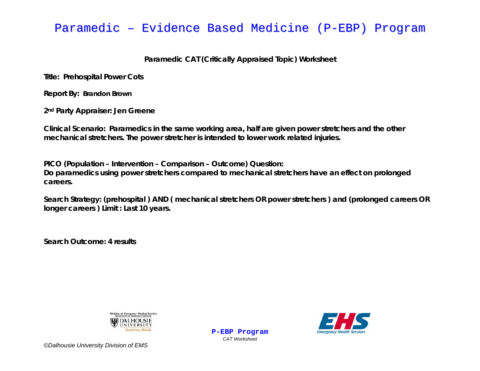### Paramedic – Evidence Based Medicine (P-EBP) Program

### **Paramedic CAT (Critically Appraised Topic) Worksheet**

**Title: Prehospital Power Cots** 

**Report By: Brandon Brown** 

**2nd Party Appraiser: Jen Greene** 

**Clinical Scenario: Paramedics in the same working area, half are given power stretchers and the other mechanical stretchers. The power stretcher is intended to lower work related injuries.** 

**PICO (Population – Intervention – Comparison – Outcome) Question:** 

**Do paramedics using power stretchers compared to mechanical stretchers have an effect on prolonged careers.** 

**Search Strategy: (prehospital ) AND ( mechanical stretchers OR power stretchers ) and (prolonged careers OR longer careers ) Limit : Last 10 years.** 

*CAT Worksheet* 

**Search Outcome: 4 results** 



**P-EBP Program**

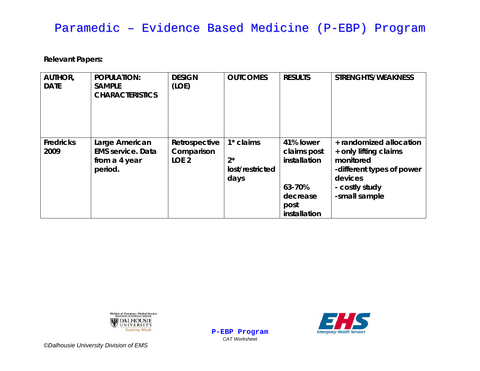# Paramedic – Evidence Based Medicine (P-EBP) Program

**Relevant Papers:** 

| <b>AUTHOR,</b><br><b>DATE</b> | <b>POPULATION:</b><br><b>SAMPLE</b><br><b>CHARACTERISTICS</b>          | <b>DESIGN</b><br>(LOE)                          | <b>OUTCOMES</b>                                 | <b>RESULTS</b>                                                                         | <b>STRENGHTS/WEAKNESS</b>                                                                                                                |
|-------------------------------|------------------------------------------------------------------------|-------------------------------------------------|-------------------------------------------------|----------------------------------------------------------------------------------------|------------------------------------------------------------------------------------------------------------------------------------------|
| <b>Fredricks</b><br>2009      | Large American<br><b>EMS service. Data</b><br>from a 4 year<br>period. | Retrospective<br>Comparison<br>LOE <sub>2</sub> | $1*$ claims<br>$2^*$<br>lost/restricted<br>days | 41% lower<br>claims post<br>installation<br>63-70%<br>decrease<br>post<br>installation | + randomized allocation<br>+ only lifting claims<br>monitored<br>-different types of power<br>devices<br>- costly study<br>-small sample |

Division of *Emergency Medical Services* DALHOUSIE **Inspiring Minds** 



**P-EBP Program** *CAT Worksheet*